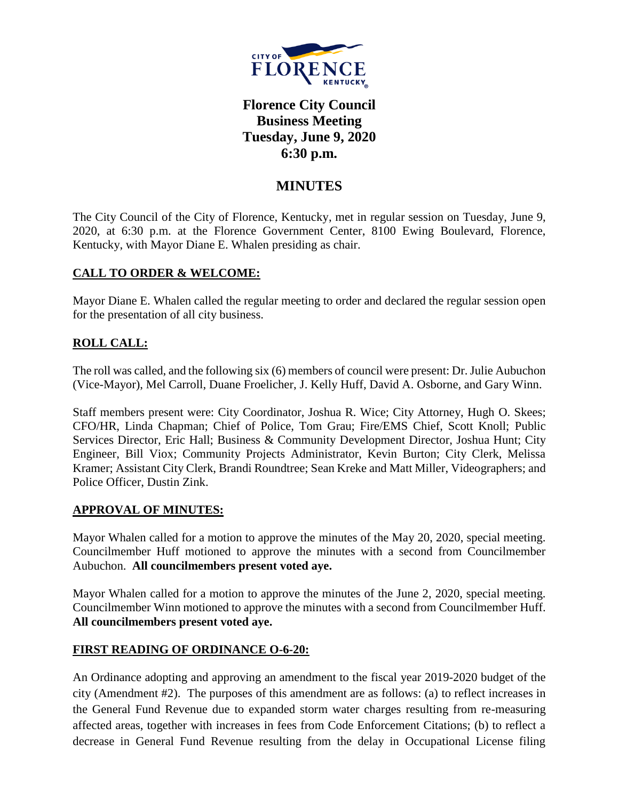

# **Florence City Council Business Meeting Tuesday, June 9, 2020 6:30 p.m.**

# **MINUTES**

The City Council of the City of Florence, Kentucky, met in regular session on Tuesday, June 9, 2020, at 6:30 p.m. at the Florence Government Center, 8100 Ewing Boulevard, Florence, Kentucky, with Mayor Diane E. Whalen presiding as chair.

# **CALL TO ORDER & WELCOME:**

Mayor Diane E. Whalen called the regular meeting to order and declared the regular session open for the presentation of all city business.

# **ROLL CALL:**

The roll was called, and the following six (6) members of council were present: Dr. Julie Aubuchon (Vice-Mayor), Mel Carroll, Duane Froelicher, J. Kelly Huff, David A. Osborne, and Gary Winn.

Staff members present were: City Coordinator, Joshua R. Wice; City Attorney, Hugh O. Skees; CFO/HR, Linda Chapman; Chief of Police, Tom Grau; Fire/EMS Chief, Scott Knoll; Public Services Director, Eric Hall; Business & Community Development Director, Joshua Hunt; City Engineer, Bill Viox; Community Projects Administrator, Kevin Burton; City Clerk, Melissa Kramer; Assistant City Clerk, Brandi Roundtree; Sean Kreke and Matt Miller, Videographers; and Police Officer, Dustin Zink.

# **APPROVAL OF MINUTES:**

Mayor Whalen called for a motion to approve the minutes of the May 20, 2020, special meeting. Councilmember Huff motioned to approve the minutes with a second from Councilmember Aubuchon. **All councilmembers present voted aye.** 

Mayor Whalen called for a motion to approve the minutes of the June 2, 2020, special meeting. Councilmember Winn motioned to approve the minutes with a second from Councilmember Huff. **All councilmembers present voted aye.** 

# **FIRST READING OF ORDINANCE O-6-20:**

An Ordinance adopting and approving an amendment to the fiscal year 2019-2020 budget of the city (Amendment #2). The purposes of this amendment are as follows: (a) to reflect increases in the General Fund Revenue due to expanded storm water charges resulting from re-measuring affected areas, together with increases in fees from Code Enforcement Citations; (b) to reflect a decrease in General Fund Revenue resulting from the delay in Occupational License filing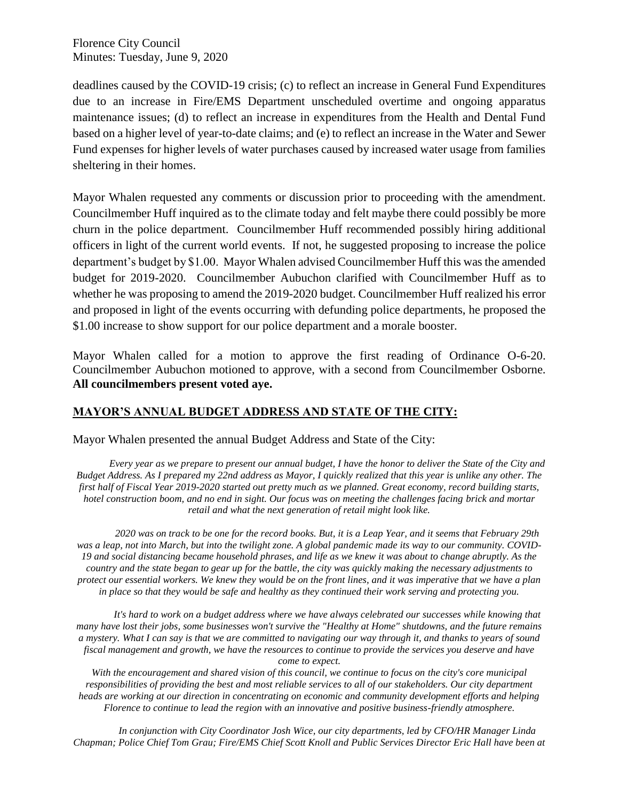deadlines caused by the COVID-19 crisis; (c) to reflect an increase in General Fund Expenditures due to an increase in Fire/EMS Department unscheduled overtime and ongoing apparatus maintenance issues; (d) to reflect an increase in expenditures from the Health and Dental Fund based on a higher level of year-to-date claims; and (e) to reflect an increase in the Water and Sewer Fund expenses for higher levels of water purchases caused by increased water usage from families sheltering in their homes.

Mayor Whalen requested any comments or discussion prior to proceeding with the amendment. Councilmember Huff inquired as to the climate today and felt maybe there could possibly be more churn in the police department. Councilmember Huff recommended possibly hiring additional officers in light of the current world events. If not, he suggested proposing to increase the police department's budget by \$1.00. Mayor Whalen advised Councilmember Huff this was the amended budget for 2019-2020. Councilmember Aubuchon clarified with Councilmember Huff as to whether he was proposing to amend the 2019-2020 budget. Councilmember Huff realized his error and proposed in light of the events occurring with defunding police departments, he proposed the \$1.00 increase to show support for our police department and a morale booster.

Mayor Whalen called for a motion to approve the first reading of Ordinance O-6-20. Councilmember Aubuchon motioned to approve, with a second from Councilmember Osborne. **All councilmembers present voted aye.** 

# **MAYOR'S ANNUAL BUDGET ADDRESS AND STATE OF THE CITY:**

Mayor Whalen presented the annual Budget Address and State of the City:

*Every year as we prepare to present our annual budget, I have the honor to deliver the State of the City and Budget Address. As I prepared my 22nd address as Mayor, I quickly realized that this year is unlike any other. The first half of Fiscal Year 2019-2020 started out pretty much as we planned. Great economy, record building starts, hotel construction boom, and no end in sight. Our focus was on meeting the challenges facing brick and mortar retail and what the next generation of retail might look like.*

*2020 was on track to be one for the record books. But, it is a Leap Year, and it seems that February 29th was a leap, not into March, but into the twilight zone. A global pandemic made its way to our community. COVID-19 and social distancing became household phrases, and life as we knew it was about to change abruptly. As the country and the state began to gear up for the battle, the city was quickly making the necessary adjustments to protect our essential workers. We knew they would be on the front lines, and it was imperative that we have a plan in place so that they would be safe and healthy as they continued their work serving and protecting you.*

*It's hard to work on a budget address where we have always celebrated our successes while knowing that many have lost their jobs, some businesses won't survive the "Healthy at Home" shutdowns, and the future remains a mystery. What I can say is that we are committed to navigating our way through it, and thanks to years of sound fiscal management and growth, we have the resources to continue to provide the services you deserve and have come to expect.*

*With the encouragement and shared vision of this council, we continue to focus on the city's core municipal responsibilities of providing the best and most reliable services to all of our stakeholders. Our city department heads are working at our direction in concentrating on economic and community development efforts and helping Florence to continue to lead the region with an innovative and positive business-friendly atmosphere.*

*In conjunction with City Coordinator Josh Wice, our city departments, led by CFO/HR Manager Linda Chapman; Police Chief Tom Grau; Fire/EMS Chief Scott Knoll and Public Services Director Eric Hall have been at*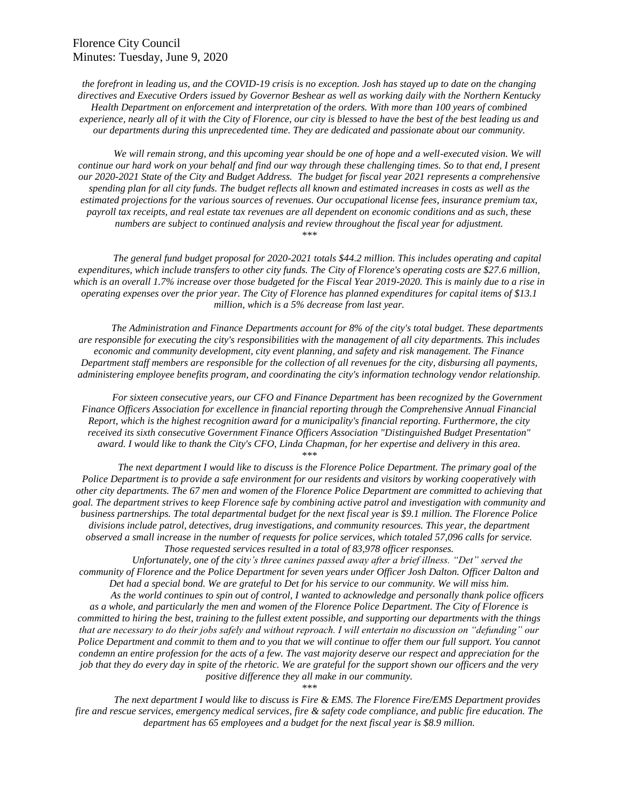*the forefront in leading us, and the COVID-19 crisis is no exception. Josh has stayed up to date on the changing directives and Executive Orders issued by Governor Beshear as well as working daily with the Northern Kentucky Health Department on enforcement and interpretation of the orders. With more than 100 years of combined experience, nearly all of it with the City of Florence, our city is blessed to have the best of the best leading us and our departments during this unprecedented time. They are dedicated and passionate about our community.*

*We will remain strong, and this upcoming year should be one of hope and a well-executed vision. We will continue our hard work on your behalf and find our way through these challenging times. So to that end, I present our 2020-2021 State of the City and Budget Address. The budget for fiscal year 2021 represents a comprehensive spending plan for all city funds. The budget reflects all known and estimated increases in costs as well as the estimated projections for the various sources of revenues. Our occupational license fees, insurance premium tax, payroll tax receipts, and real estate tax revenues are all dependent on economic conditions and as such, these numbers are subject to continued analysis and review throughout the fiscal year for adjustment. \*\*\**

*The general fund budget proposal for 2020-2021 totals \$44.2 million. This includes operating and capital expenditures, which include transfers to other city funds. The City of Florence's operating costs are \$27.6 million, which is an overall 1.7% increase over those budgeted for the Fiscal Year 2019-2020. This is mainly due to a rise in operating expenses over the prior year. The City of Florence has planned expenditures for capital items of \$13.1 million, which is a 5% decrease from last year.*

*The Administration and Finance Departments account for 8% of the city's total budget. These departments are responsible for executing the city's responsibilities with the management of all city departments. This includes economic and community development, city event planning, and safety and risk management. The Finance Department staff members are responsible for the collection of all revenues for the city, disbursing all payments, administering employee benefits program, and coordinating the city's information technology vendor relationship.*

*For sixteen consecutive years, our CFO and Finance Department has been recognized by the Government Finance Officers Association for excellence in financial reporting through the Comprehensive Annual Financial Report, which is the highest recognition award for a municipality's financial reporting. Furthermore, the city received its sixth consecutive Government Finance Officers Association "Distinguished Budget Presentation" award. I would like to thank the City's CFO, Linda Chapman, for her expertise and delivery in this area. \*\*\**

*The next department I would like to discuss is the Florence Police Department. The primary goal of the Police Department is to provide a safe environment for our residents and visitors by working cooperatively with other city departments. The 67 men and women of the Florence Police Department are committed to achieving that goal. The department strives to keep Florence safe by combining active patrol and investigation with community and business partnerships. The total departmental budget for the next fiscal year is \$9.1 million. The Florence Police divisions include patrol, detectives, drug investigations, and community resources. This year, the department observed a small increase in the number of requests for police services, which totaled 57,096 calls for service. Those requested services resulted in a total of 83,978 officer responses.*

*Unfortunately, one of the city's three canines passed away after a brief illness. "Det" served the community of Florence and the Police Department for seven years under Officer Josh Dalton. Officer Dalton and Det had a special bond. We are grateful to Det for his service to our community. We will miss him. As the world continues to spin out of control, I wanted to acknowledge and personally thank police officers as a whole, and particularly the men and women of the Florence Police Department. The City of Florence is committed to hiring the best, training to the fullest extent possible, and supporting our departments with the things that are necessary to do their jobs safely and without reproach. I will entertain no discussion on "defunding" our Police Department and commit to them and to you that we will continue to offer them our full support. You cannot condemn an entire profession for the acts of a few. The vast majority deserve our respect and appreciation for the job that they do every day in spite of the rhetoric. We are grateful for the support shown our officers and the very positive difference they all make in our community.*

*\*\*\**

*The next department I would like to discuss is Fire & EMS. The Florence Fire/EMS Department provides fire and rescue services, emergency medical services, fire & safety code compliance, and public fire education. The department has 65 employees and a budget for the next fiscal year is \$8.9 million.*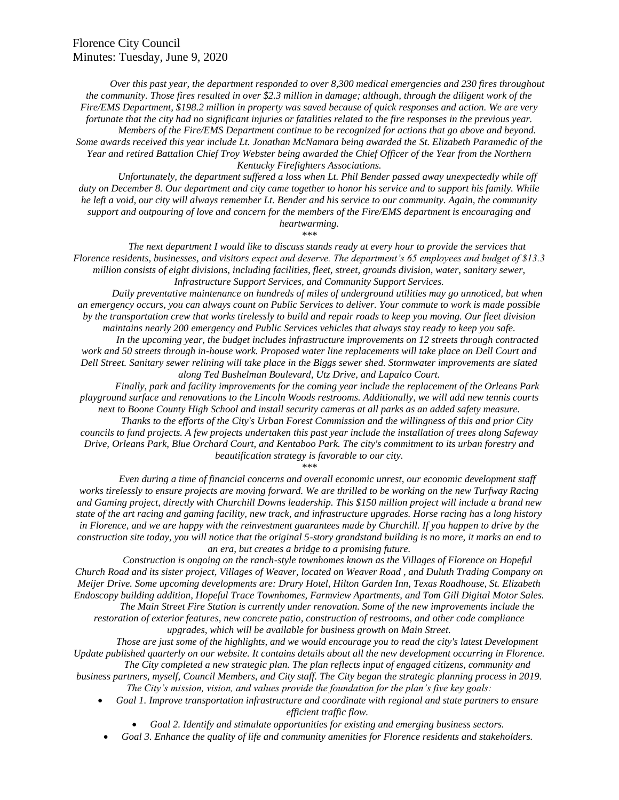*Over this past year, the department responded to over 8,300 medical emergencies and 230 fires throughout the community. Those fires resulted in over \$2.3 million in damage; although, through the diligent work of the Fire/EMS Department, \$198.2 million in property was saved because of quick responses and action. We are very fortunate that the city had no significant injuries or fatalities related to the fire responses in the previous year. Members of the Fire/EMS Department continue to be recognized for actions that go above and beyond. Some awards received this year include Lt. Jonathan McNamara being awarded the St. Elizabeth Paramedic of the* 

*Year and retired Battalion Chief Troy Webster being awarded the Chief Officer of the Year from the Northern Kentucky Firefighters Associations. Unfortunately, the department suffered a loss when Lt. Phil Bender passed away unexpectedly while off* 

*duty on December 8. Our department and city came together to honor his service and to support his family. While he left a void, our city will always remember Lt. Bender and his service to our community. Again, the community support and outpouring of love and concern for the members of the Fire/EMS department is encouraging and heartwarming.*

*\*\*\**

*The next department I would like to discuss stands ready at every hour to provide the services that Florence residents, businesses, and visitors expect and deserve. The department's 65 employees and budget of \$13.3 million consists of eight divisions, including facilities, fleet, street, grounds division, water, sanitary sewer, Infrastructure Support Services, and Community Support Services.*

*Daily preventative maintenance on hundreds of miles of underground utilities may go unnoticed, but when an emergency occurs, you can always count on Public Services to deliver. Your commute to work is made possible by the transportation crew that works tirelessly to build and repair roads to keep you moving. Our fleet division maintains nearly 200 emergency and Public Services vehicles that always stay ready to keep you safe.*

*In the upcoming year, the budget includes infrastructure improvements on 12 streets through contracted*  work and 50 streets through in-house work. Proposed water line replacements will take place on Dell Court and *Dell Street. Sanitary sewer relining will take place in the Biggs sewer shed. Stormwater improvements are slated along Ted Bushelman Boulevard, Utz Drive, and Lapalco Court.*

*Finally, park and facility improvements for the coming year include the replacement of the Orleans Park playground surface and renovations to the Lincoln Woods restrooms. Additionally, we will add new tennis courts next to Boone County High School and install security cameras at all parks as an added safety measure. Thanks to the efforts of the City's Urban Forest Commission and the willingness of this and prior City* 

*councils to fund projects. A few projects undertaken this past year include the installation of trees along Safeway Drive, Orleans Park, Blue Orchard Court, and Kentaboo Park. The city's commitment to its urban forestry and beautification strategy is favorable to our city.*

*\*\*\**

*Even during a time of financial concerns and overall economic unrest, our economic development staff works tirelessly to ensure projects are moving forward. We are thrilled to be working on the new Turfway Racing and Gaming project, directly with Churchill Downs leadership. This \$150 million project will include a brand new state of the art racing and gaming facility, new track, and infrastructure upgrades. Horse racing has a long history in Florence, and we are happy with the reinvestment guarantees made by Churchill. If you happen to drive by the construction site today, you will notice that the original 5-story grandstand building is no more, it marks an end to an era, but creates a bridge to a promising future.*

*Construction is ongoing on the ranch-style townhomes known as the Villages of Florence on Hopeful Church Road and its sister project, Villages of Weaver, located on Weaver Road , and Duluth Trading Company on Meijer Drive. Some upcoming developments are: Drury Hotel, Hilton Garden Inn, Texas Roadhouse, St. Elizabeth Endoscopy building addition, Hopeful Trace Townhomes, Farmview Apartments, and Tom Gill Digital Motor Sales.*

*The Main Street Fire Station is currently under renovation. Some of the new improvements include the restoration of exterior features, new concrete patio, construction of restrooms, and other code compliance upgrades, which will be available for business growth on Main Street.*

*Those are just some of the highlights, and we would encourage you to read the city's latest Development Update published quarterly on our website. It contains details about all the new development occurring in Florence.*

*The City completed a new strategic plan. The plan reflects input of engaged citizens, community and business partners, myself, Council Members, and City staff. The City began the strategic planning process in 2019. The City's mission, vision, and values provide the foundation for the plan's five key goals:*

- *Goal 1. Improve transportation infrastructure and coordinate with regional and state partners to ensure efficient traffic flow.*
	- *Goal 2. Identify and stimulate opportunities for existing and emerging business sectors.*
- *Goal 3. Enhance the quality of life and community amenities for Florence residents and stakeholders.*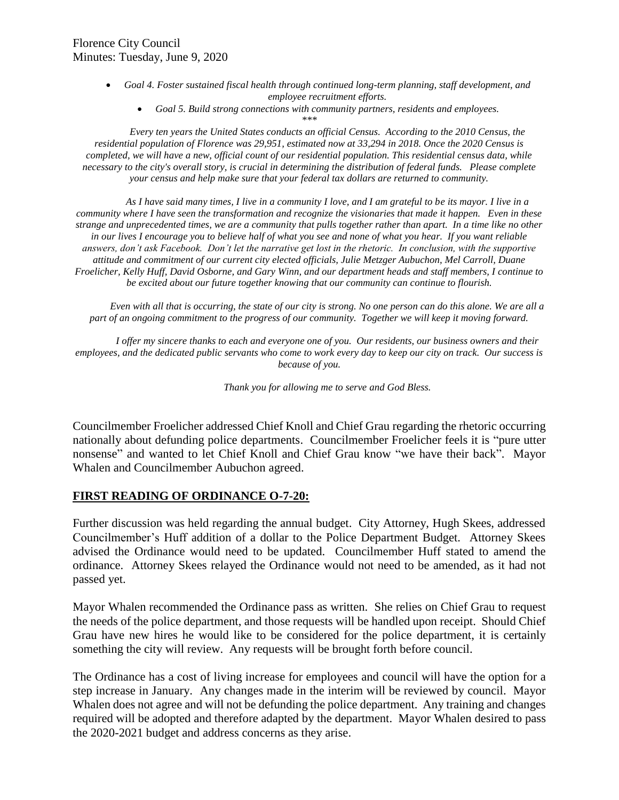- *Goal 4. Foster sustained fiscal health through continued long-term planning, staff development, and employee recruitment efforts.*
	- *Goal 5. Build strong connections with community partners, residents and employees.*

*\*\*\**

*Every ten years the United States conducts an official Census. According to the 2010 Census, the residential population of Florence was 29,951, estimated now at 33,294 in 2018. Once the 2020 Census is completed, we will have a new, official count of our residential population. This residential census data, while necessary to the city's overall story, is crucial in determining the distribution of federal funds. Please complete your census and help make sure that your federal tax dollars are returned to community.*

*As I have said many times, I live in a community I love, and I am grateful to be its mayor. I live in a community where I have seen the transformation and recognize the visionaries that made it happen. Even in these strange and unprecedented times, we are a community that pulls together rather than apart. In a time like no other in our lives I encourage you to believe half of what you see and none of what you hear. If you want reliable answers, don't ask Facebook. Don't let the narrative get lost in the rhetoric. In conclusion, with the supportive attitude and commitment of our current city elected officials, Julie Metzger Aubuchon, Mel Carroll, Duane Froelicher, Kelly Huff, David Osborne, and Gary Winn, and our department heads and staff members, I continue to be excited about our future together knowing that our community can continue to flourish.*

*Even with all that is occurring, the state of our city is strong. No one person can do this alone. We are all a part of an ongoing commitment to the progress of our community. Together we will keep it moving forward.*

*I offer my sincere thanks to each and everyone one of you. Our residents, our business owners and their employees, and the dedicated public servants who come to work every day to keep our city on track. Our success is because of you.*

*Thank you for allowing me to serve and God Bless.*

Councilmember Froelicher addressed Chief Knoll and Chief Grau regarding the rhetoric occurring nationally about defunding police departments. Councilmember Froelicher feels it is "pure utter nonsense" and wanted to let Chief Knoll and Chief Grau know "we have their back". Mayor Whalen and Councilmember Aubuchon agreed.

# **FIRST READING OF ORDINANCE O-7-20:**

Further discussion was held regarding the annual budget. City Attorney, Hugh Skees, addressed Councilmember's Huff addition of a dollar to the Police Department Budget. Attorney Skees advised the Ordinance would need to be updated. Councilmember Huff stated to amend the ordinance. Attorney Skees relayed the Ordinance would not need to be amended, as it had not passed yet.

Mayor Whalen recommended the Ordinance pass as written. She relies on Chief Grau to request the needs of the police department, and those requests will be handled upon receipt. Should Chief Grau have new hires he would like to be considered for the police department, it is certainly something the city will review. Any requests will be brought forth before council.

The Ordinance has a cost of living increase for employees and council will have the option for a step increase in January. Any changes made in the interim will be reviewed by council. Mayor Whalen does not agree and will not be defunding the police department. Any training and changes required will be adopted and therefore adapted by the department. Mayor Whalen desired to pass the 2020-2021 budget and address concerns as they arise.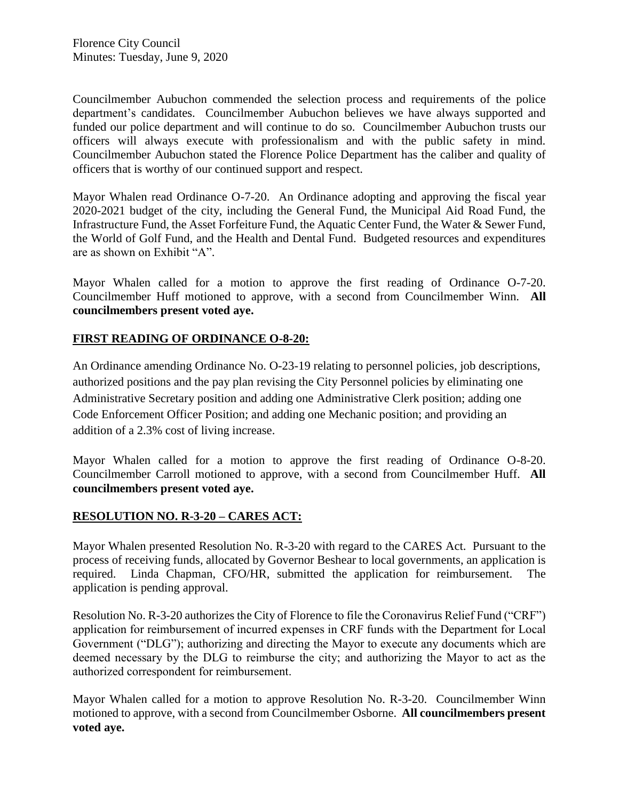Councilmember Aubuchon commended the selection process and requirements of the police department's candidates. Councilmember Aubuchon believes we have always supported and funded our police department and will continue to do so. Councilmember Aubuchon trusts our officers will always execute with professionalism and with the public safety in mind. Councilmember Aubuchon stated the Florence Police Department has the caliber and quality of officers that is worthy of our continued support and respect.

Mayor Whalen read Ordinance O-7-20. An Ordinance adopting and approving the fiscal year 2020-2021 budget of the city, including the General Fund, the Municipal Aid Road Fund, the Infrastructure Fund, the Asset Forfeiture Fund, the Aquatic Center Fund, the Water & Sewer Fund, the World of Golf Fund, and the Health and Dental Fund. Budgeted resources and expenditures are as shown on Exhibit "A".

Mayor Whalen called for a motion to approve the first reading of Ordinance O-7-20. Councilmember Huff motioned to approve, with a second from Councilmember Winn. **All councilmembers present voted aye.** 

# **FIRST READING OF ORDINANCE O-8-20:**

An Ordinance amending Ordinance No. O-23-19 relating to personnel policies, job descriptions, authorized positions and the pay plan revising the City Personnel policies by eliminating one Administrative Secretary position and adding one Administrative Clerk position; adding one Code Enforcement Officer Position; and adding one Mechanic position; and providing an addition of a 2.3% cost of living increase.

Mayor Whalen called for a motion to approve the first reading of Ordinance O-8-20. Councilmember Carroll motioned to approve, with a second from Councilmember Huff. **All councilmembers present voted aye.** 

# **RESOLUTION NO. R-3-20 – CARES ACT:**

Mayor Whalen presented Resolution No. R-3-20 with regard to the CARES Act. Pursuant to the process of receiving funds, allocated by Governor Beshear to local governments, an application is required. Linda Chapman, CFO/HR, submitted the application for reimbursement. The application is pending approval.

Resolution No. R-3-20 authorizes the City of Florence to file the Coronavirus Relief Fund ("CRF") application for reimbursement of incurred expenses in CRF funds with the Department for Local Government ("DLG"); authorizing and directing the Mayor to execute any documents which are deemed necessary by the DLG to reimburse the city; and authorizing the Mayor to act as the authorized correspondent for reimbursement.

Mayor Whalen called for a motion to approve Resolution No. R-3-20. Councilmember Winn motioned to approve, with a second from Councilmember Osborne. **All councilmembers present voted aye.**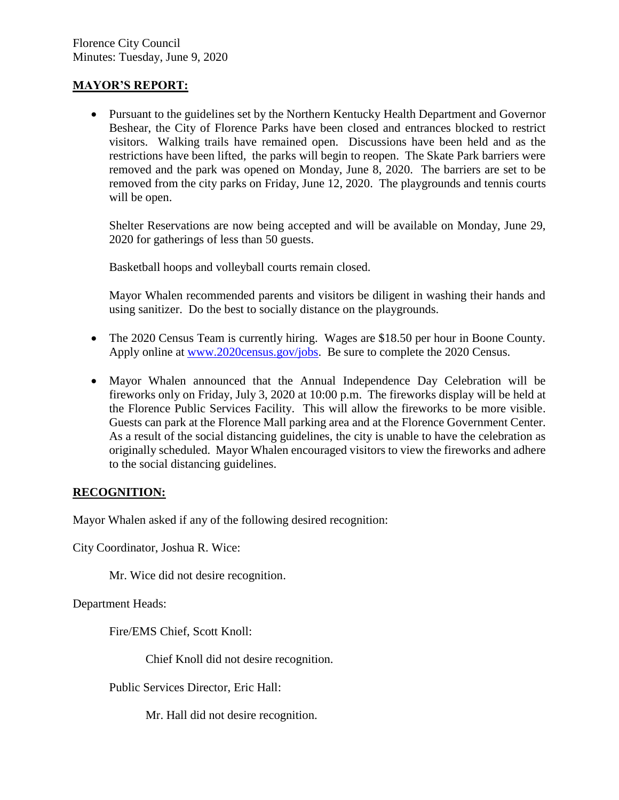### **MAYOR'S REPORT:**

 Pursuant to the guidelines set by the Northern Kentucky Health Department and Governor Beshear, the City of Florence Parks have been closed and entrances blocked to restrict visitors. Walking trails have remained open. Discussions have been held and as the restrictions have been lifted, the parks will begin to reopen. The Skate Park barriers were removed and the park was opened on Monday, June 8, 2020. The barriers are set to be removed from the city parks on Friday, June 12, 2020. The playgrounds and tennis courts will be open.

Shelter Reservations are now being accepted and will be available on Monday, June 29, 2020 for gatherings of less than 50 guests.

Basketball hoops and volleyball courts remain closed.

Mayor Whalen recommended parents and visitors be diligent in washing their hands and using sanitizer. Do the best to socially distance on the playgrounds.

- The 2020 Census Team is currently hiring. Wages are \$18.50 per hour in Boone County. Apply online at [www.2020census.gov/jobs.](http://www.2020census.gov/jobs) Be sure to complete the 2020 Census.
- Mayor Whalen announced that the Annual Independence Day Celebration will be fireworks only on Friday, July 3, 2020 at 10:00 p.m. The fireworks display will be held at the Florence Public Services Facility. This will allow the fireworks to be more visible. Guests can park at the Florence Mall parking area and at the Florence Government Center. As a result of the social distancing guidelines, the city is unable to have the celebration as originally scheduled. Mayor Whalen encouraged visitors to view the fireworks and adhere to the social distancing guidelines.

# **RECOGNITION:**

Mayor Whalen asked if any of the following desired recognition:

City Coordinator, Joshua R. Wice:

Mr. Wice did not desire recognition.

Department Heads:

Fire/EMS Chief, Scott Knoll:

Chief Knoll did not desire recognition.

Public Services Director, Eric Hall:

Mr. Hall did not desire recognition.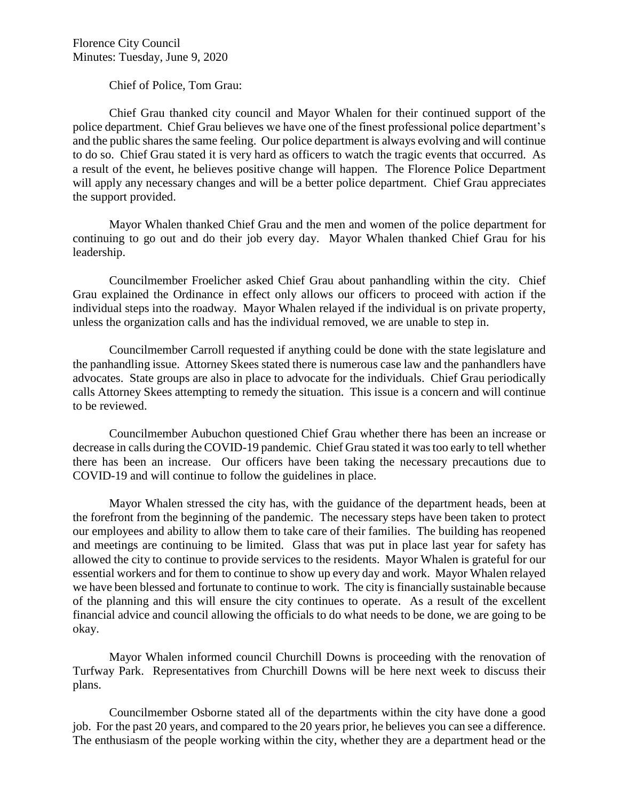Chief of Police, Tom Grau:

Chief Grau thanked city council and Mayor Whalen for their continued support of the police department. Chief Grau believes we have one of the finest professional police department's and the public shares the same feeling. Our police department is always evolving and will continue to do so. Chief Grau stated it is very hard as officers to watch the tragic events that occurred. As a result of the event, he believes positive change will happen. The Florence Police Department will apply any necessary changes and will be a better police department. Chief Grau appreciates the support provided.

Mayor Whalen thanked Chief Grau and the men and women of the police department for continuing to go out and do their job every day. Mayor Whalen thanked Chief Grau for his leadership.

Councilmember Froelicher asked Chief Grau about panhandling within the city. Chief Grau explained the Ordinance in effect only allows our officers to proceed with action if the individual steps into the roadway. Mayor Whalen relayed if the individual is on private property, unless the organization calls and has the individual removed, we are unable to step in.

Councilmember Carroll requested if anything could be done with the state legislature and the panhandling issue. Attorney Skees stated there is numerous case law and the panhandlers have advocates. State groups are also in place to advocate for the individuals. Chief Grau periodically calls Attorney Skees attempting to remedy the situation. This issue is a concern and will continue to be reviewed.

Councilmember Aubuchon questioned Chief Grau whether there has been an increase or decrease in calls during the COVID-19 pandemic. Chief Grau stated it was too early to tell whether there has been an increase. Our officers have been taking the necessary precautions due to COVID-19 and will continue to follow the guidelines in place.

Mayor Whalen stressed the city has, with the guidance of the department heads, been at the forefront from the beginning of the pandemic. The necessary steps have been taken to protect our employees and ability to allow them to take care of their families. The building has reopened and meetings are continuing to be limited. Glass that was put in place last year for safety has allowed the city to continue to provide services to the residents. Mayor Whalen is grateful for our essential workers and for them to continue to show up every day and work. Mayor Whalen relayed we have been blessed and fortunate to continue to work. The city is financially sustainable because of the planning and this will ensure the city continues to operate. As a result of the excellent financial advice and council allowing the officials to do what needs to be done, we are going to be okay.

Mayor Whalen informed council Churchill Downs is proceeding with the renovation of Turfway Park. Representatives from Churchill Downs will be here next week to discuss their plans.

Councilmember Osborne stated all of the departments within the city have done a good job. For the past 20 years, and compared to the 20 years prior, he believes you can see a difference. The enthusiasm of the people working within the city, whether they are a department head or the